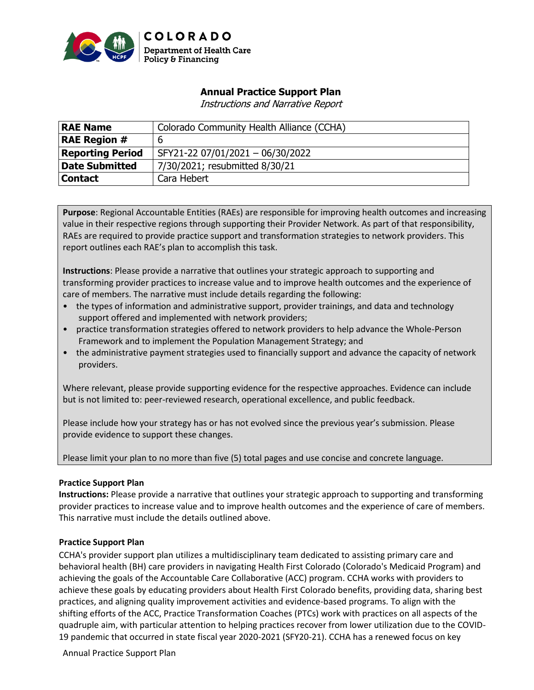

# **Annual Practice Support Plan**

Instructions and Narrative Report

| <b>RAE Name</b>         | Colorado Community Health Alliance (CCHA) |
|-------------------------|-------------------------------------------|
| <b>RAE Region #</b>     | 6                                         |
| <b>Reporting Period</b> | SFY21-22 07/01/2021 - 06/30/2022          |
| <b>Date Submitted</b>   | 7/30/2021; resubmitted 8/30/21            |
| <b>Contact</b>          | Cara Hebert                               |

**Purpose**: Regional Accountable Entities (RAEs) are responsible for improving health outcomes and increasing value in their respective regions through supporting their Provider Network. As part of that responsibility, RAEs are required to provide practice support and transformation strategies to network providers. This report outlines each RAE's plan to accomplish this task.

**Instructions**: Please provide a narrative that outlines your strategic approach to supporting and transforming provider practices to increase value and to improve health outcomes and the experience of care of members. The narrative must include details regarding the following:

- the types of information and administrative support, provider trainings, and data and technology support offered and implemented with network providers;
- practice transformation strategies offered to network providers to help advance the Whole-Person Framework and to implement the Population Management Strategy; and
- the administrative payment strategies used to financially support and advance the capacity of network providers.

Where relevant, please provide supporting evidence for the respective approaches. Evidence can include but is not limited to: peer-reviewed research, operational excellence, and public feedback.

Please include how your strategy has or has not evolved since the previous year's submission. Please provide evidence to support these changes.

Please limit your plan to no more than five (5) total pages and use concise and concrete language.

#### **Practice Support Plan**

**Instructions:** Please provide a narrative that outlines your strategic approach to supporting and transforming provider practices to increase value and to improve health outcomes and the experience of care of members. This narrative must include the details outlined above.

#### **Practice Support Plan**

CCHA's provider support plan utilizes a multidisciplinary team dedicated to assisting primary care and behavioral health (BH) care providers in navigating Health First Colorado (Colorado's Medicaid Program) and achieving the goals of the Accountable Care Collaborative (ACC) program. CCHA works with providers to achieve these goals by educating providers about Health First Colorado benefits, providing data, sharing best practices, and aligning quality improvement activities and evidence-based programs. To align with the shifting efforts of the ACC, Practice Transformation Coaches (PTCs) work with practices on all aspects of the quadruple aim, with particular attention to helping practices recover from lower utilization due to the COVID-19 pandemic that occurred in state fiscal year 2020-2021 (SFY20-21). CCHA has a renewed focus on key

Annual Practice Support Plan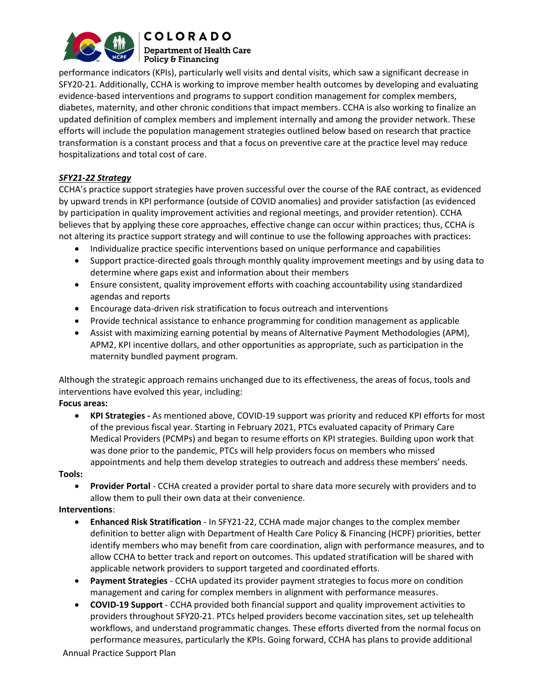

**COLORADO Department of Health Care**  $\mid$  Policy & Financing

performance indicators (KPIs), particularly well visits and dental visits, which saw a significant decrease in SFY20-21. Additionally, CCHA is working to improve member health outcomes by developing and evaluating evidence-based interventions and programs to support condition management for complex members, diabetes, maternity, and other chronic conditions that impact members. CCHA is also working to finalize an updated definition of complex members and implement internally and among the provider network. These efforts will include the population management strategies outlined below based on research that practice transformation is a constant process and that a focus on preventive care at the practice level may reduce hospitalizations and total cost of care.

## *SFY21-22 Strategy*

CCHA's practice support strategies have proven successful over the course of the RAE contract, as evidenced by upward trends in KPI performance (outside of COVID anomalies) and provider satisfaction (as evidenced by participation in quality improvement activities and regional meetings, and provider retention). CCHA believes that by applying these core approaches, effective change can occur within practices; thus, CCHA is not altering its practice support strategy and will continue to use the following approaches with practices:

- Individualize practice specific interventions based on unique performance and capabilities
- Support practice-directed goals through monthly quality improvement meetings and by using data to determine where gaps exist and information about their members
- Ensure consistent, quality improvement efforts with coaching accountability using standardized agendas and reports
- Encourage data-driven risk stratification to focus outreach and interventions
- Provide technical assistance to enhance programming for condition management as applicable
- Assist with maximizing earning potential by means of Alternative Payment Methodologies (APM), APM2, KPI incentive dollars, and other opportunities as appropriate, such as participation in the maternity bundled payment program.

Although the strategic approach remains unchanged due to its effectiveness, the areas of focus, tools and interventions have evolved this year, including:

**Focus areas:**

• **KPI Strategies -** As mentioned above, COVID-19 support was priority and reduced KPI efforts for most of the previous fiscal year. Starting in February 2021, PTCs evaluated capacity of Primary Care Medical Providers (PCMPs) and began to resume efforts on KPI strategies. Building upon work that was done prior to the pandemic, PTCs will help providers focus on members who missed appointments and help them develop strategies to outreach and address these members' needs.

**Tools:** 

• **Provider Portal** - CCHA created a provider portal to share data more securely with providers and to allow them to pull their own data at their convenience.

### **Interventions**:

- **Enhanced Risk Stratification** In SFY21-22, CCHA made major changes to the complex member definition to better align with Department of Health Care Policy & Financing (HCPF) priorities, better identify members who may benefit from care coordination, align with performance measures, and to allow CCHA to better track and report on outcomes. This updated stratification will be shared with applicable network providers to support targeted and coordinated efforts.
- **Payment Strategies** CCHA updated its provider payment strategies to focus more on condition management and caring for complex members in alignment with performance measures.
- **COVID-19 Support** CCHA provided both financial support and quality improvement activities to providers throughout SFY20-21. PTCs helped providers become vaccination sites, set up telehealth workflows, and understand programmatic changes. These efforts diverted from the normal focus on performance measures, particularly the KPIs. Going forward, CCHA has plans to provide additional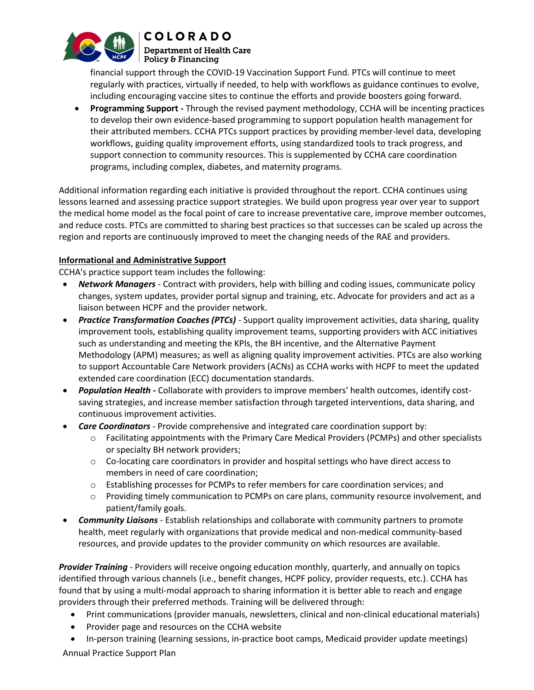

#### **COLORADO Department of Health Care**  $\mid$  Policy & Financing

financial support through the COVID-19 Vaccination Support Fund. PTCs will continue to meet regularly with practices, virtually if needed, to help with workflows as guidance continues to evolve, including encouraging vaccine sites to continue the efforts and provide boosters going forward.

• **Programming Support -** Through the revised payment methodology, CCHA will be incenting practices to develop their own evidence-based programming to support population health management for their attributed members. CCHA PTCs support practices by providing member-level data, developing workflows, guiding quality improvement efforts, using standardized tools to track progress, and support connection to community resources. This is supplemented by CCHA care coordination programs, including complex, diabetes, and maternity programs.

Additional information regarding each initiative is provided throughout the report. CCHA continues using lessons learned and assessing practice support strategies. We build upon progress year over year to support the medical home model as the focal point of care to increase preventative care, improve member outcomes, and reduce costs. PTCs are committed to sharing best practices so that successes can be scaled up across the region and reports are continuously improved to meet the changing needs of the RAE and providers.

### **Informational and Administrative Support**

CCHA's practice support team includes the following:

- *Network Managers -* Contract with providers, help with billing and coding issues, communicate policy changes, system updates, provider portal signup and training, etc. Advocate for providers and act as a liaison between HCPF and the provider network.
- *Practice Transformation Coaches (PTCs) -* Support quality improvement activities, data sharing, quality improvement tools, establishing quality improvement teams, supporting providers with ACC initiatives such as understanding and meeting the KPIs, the BH incentive, and the Alternative Payment Methodology (APM) measures; as well as aligning quality improvement activities. PTCs are also working to support Accountable Care Network providers (ACNs) as CCHA works with HCPF to meet the updated extended care coordination (ECC) documentation standards.
- *Population Health -* Collaborate with providers to improve members' health outcomes, identify costsaving strategies, and increase member satisfaction through targeted interventions, data sharing, and continuous improvement activities.
- *Care Coordinators*  Provide comprehensive and integrated care coordination support by:
	- $\circ$  Facilitating appointments with the Primary Care Medical Providers (PCMPs) and other specialists or specialty BH network providers;
	- $\circ$  Co-locating care coordinators in provider and hospital settings who have direct access to members in need of care coordination;
	- o Establishing processes for PCMPs to refer members for care coordination services; and
	- $\circ$  Providing timely communication to PCMPs on care plans, community resource involvement, and patient/family goals.
- *Community Liaisons*  Establish relationships and collaborate with community partners to promote health, meet regularly with organizations that provide medical and non-medical community-based resources, and provide updates to the provider community on which resources are available.

*Provider Training* - Providers will receive ongoing education monthly, quarterly, and annually on topics identified through various channels (i.e., benefit changes, HCPF policy, provider requests, etc.). CCHA has found that by using a multi-modal approach to sharing information it is better able to reach and engage providers through their preferred methods. Training will be delivered through:

- Print communications (provider manuals, newsletters, clinical and non-clinical educational materials)
- Provider page and resources on the CCHA website
- In-person training (learning sessions, in-practice boot camps, Medicaid provider update meetings)

Annual Practice Support Plan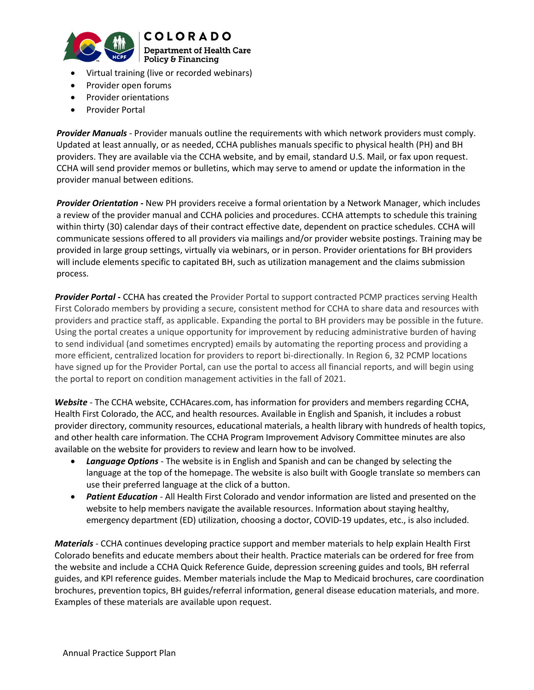



- Virtual training (live or recorded webinars)
- Provider open forums
- Provider orientations
- Provider Portal

*Provider Manuals* - Provider manuals outline the requirements with which network providers must comply. Updated at least annually, or as needed, CCHA publishes manuals specific to physical health (PH) and BH providers. They are available via the CCHA website, and by email, standard U.S. Mail, or fax upon request. CCHA will send provider memos or bulletins, which may serve to amend or update the information in the provider manual between editions.

*Provider Orientation* **-** New PH providers receive a formal orientation by a Network Manager, which includes a review of the provider manual and CCHA policies and procedures. CCHA attempts to schedule this training within thirty (30) calendar days of their contract effective date, dependent on practice schedules. CCHA will communicate sessions offered to all providers via mailings and/or provider website postings. Training may be provided in large group settings, virtually via webinars, or in person. Provider orientations for BH providers will include elements specific to capitated BH, such as utilization management and the claims submission process.

*Provider Portal -* CCHA has created the Provider Portal to support contracted PCMP practices serving Health First Colorado members by providing a secure, consistent method for CCHA to share data and resources with providers and practice staff, as applicable. Expanding the portal to BH providers may be possible in the future. Using the portal creates a unique opportunity for improvement by reducing administrative burden of having to send individual (and sometimes encrypted) emails by automating the reporting process and providing a more efficient, centralized location for providers to report bi-directionally. In Region 6, 32 PCMP locations have signed up for the Provider Portal, can use the portal to access all financial reports, and will begin using the portal to report on condition management activities in the fall of 2021.

*Website* - The CCHA website[, CCHAcares.com,](http://www.cchacares.com/) has information for providers and members regarding CCHA, Health First Colorado, the ACC, and health resources. Available in English and Spanish, it includes a robust provider directory, community resources, educational materials, a health library with hundreds of health topics, and other health care information. The CCHA Program Improvement Advisory Committee minutes are also available on the website for providers to review and learn how to be involved.

- *Language Options* The website is in English and Spanish and can be changed by selecting the language at the top of the homepage. The website is also built with Google translate so members can use their preferred language at the click of a button.
- *Patient Education* All Health First Colorado and vendor information are listed and presented on the website to help members navigate the available resources. Information about staying healthy, emergency department (ED) utilization, choosing a doctor, COVID-19 updates, etc., is also included.

*Materials* - CCHA continues developing practice support and member materials to help explain Health First Colorado benefits and educate members about their health. Practice materials can be ordered for free from the website and include a CCHA Quick Reference Guide, depression screening guides and tools, BH referral guides, and KPI reference guides. Member materials include the Map to Medicaid brochures, care coordination brochures, prevention topics, BH guides/referral information, general disease education materials, and more. Examples of these materials are available upon request.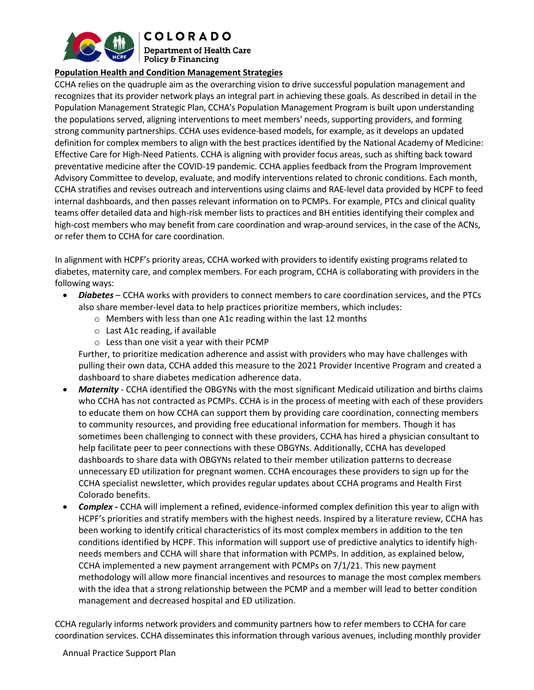

**COLORADO** 

**Department of Health Care**  $\mid$  Policy & Financing

## **Population Health and Condition Management Strategies**

CCHA relies on the quadruple aim as the overarching vision to drive successful population management and recognizes that its provider network plays an integral part in achieving these goals. As described in detail in the Population Management Strategic Plan, CCHA's Population Management Program is built upon understanding the populations served, aligning interventions to meet members' needs, supporting providers, and forming strong community partnerships. CCHA uses evidence-based models, for example, as it develops an updated definition for complex members to align with the best practices identified by the National Academy of Medicine: Effective Care for High-Need Patients. CCHA is aligning with provider focus areas, such as shifting back toward preventative medicine after the COVID-19 pandemic. CCHA applies feedback from the Program Improvement Advisory Committee to develop, evaluate, and modify interventions related to chronic conditions. Each month, CCHA stratifies and revises outreach and interventions using claims and RAE-level data provided by HCPF to feed internal dashboards, and then passes relevant information on to PCMPs. For example, PTCs and clinical quality teams offer detailed data and high-risk member lists to practices and BH entities identifying their complex and high-cost members who may benefit from care coordination and wrap-around services, in the case of the ACNs, or refer them to CCHA for care coordination.

In alignment with HCPF's priority areas, CCHA worked with providers to identify existing programs related to diabetes, maternity care, and complex members. For each program, CCHA is collaborating with providers in the following ways:

- *Diabetes* CCHA works with providers to connect members to care coordination services, and the PTCs also share member-level data to help practices prioritize members, which includes:
	- o Members with less than one A1c reading within the last 12 months
	- $\circ$  Last A1c reading, if available
	- $\circ$  Less than one visit a year with their PCMP

Further, to prioritize medication adherence and assist with providers who may have challenges with pulling their own data, CCHA added this measure to the 2021 Provider Incentive Program and created a dashboard to share diabetes medication adherence data.

- *Maternity* CCHA identified the OBGYNs with the most significant Medicaid utilization and births claims who CCHA has not contracted as PCMPs. CCHA is in the process of meeting with each of these providers to educate them on how CCHA can support them by providing care coordination, connecting members to community resources, and providing free educational information for members. Though it has sometimes been challenging to connect with these providers, CCHA has hired a physician consultant to help facilitate peer to peer connections with these OBGYNs. Additionally, CCHA has developed dashboards to share data with OBGYNs related to their member utilization patterns to decrease unnecessary ED utilization for pregnant women. CCHA encourages these providers to sign up for the CCHA specialist newsletter, which provides regular updates about CCHA programs and Health First Colorado benefits.
- *Complex -* CCHA will implement a refined, evidence-informed complex definition this year to align with HCPF's priorities and stratify members with the highest needs. Inspired by a literature review, CCHA has been working to identify critical characteristics of its most complex members in addition to the ten conditions identified by HCPF. This information will support use of predictive analytics to identify highneeds members and CCHA will share that information with PCMPs. In addition, as explained below, CCHA implemented a new payment arrangement with PCMPs on 7/1/21. This new payment methodology will allow more financial incentives and resources to manage the most complex members with the idea that a strong relationship between the PCMP and a member will lead to better condition management and decreased hospital and ED utilization.

CCHA regularly informs network providers and community partners how to refer members to CCHA for care coordination services. CCHA disseminates this information through various avenues, including monthly provider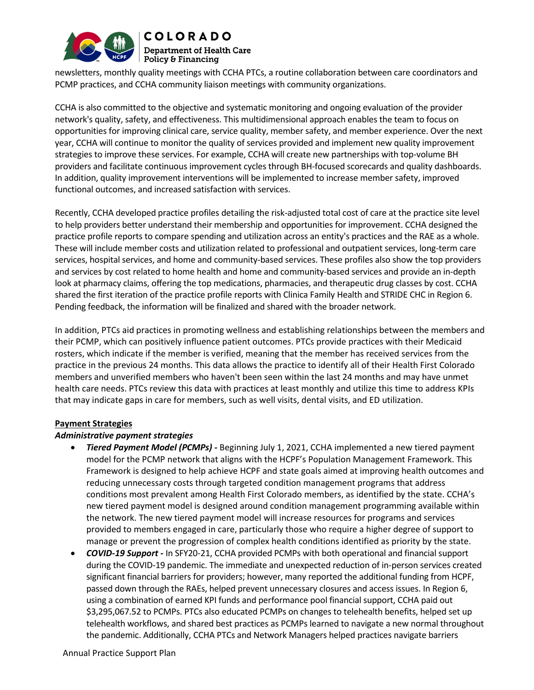

newsletters, monthly quality meetings with CCHA PTCs, a routine collaboration between care coordinators and PCMP practices, and CCHA community liaison meetings with community organizations.

CCHA is also committed to the objective and systematic monitoring and ongoing evaluation of the provider network's quality, safety, and effectiveness. This multidimensional approach enables the team to focus on opportunities for improving clinical care, service quality, member safety, and member experience. Over the next year, CCHA will continue to monitor the quality of services provided and implement new quality improvement strategies to improve these services. For example, CCHA will create new partnerships with top-volume BH providers and facilitate continuous improvement cycles through BH-focused scorecards and quality dashboards. In addition, quality improvement interventions will be implemented to increase member safety, improved functional outcomes, and increased satisfaction with services.

Recently, CCHA developed practice profiles detailing the risk-adjusted total cost of care at the practice site level to help providers better understand their membership and opportunities for improvement. CCHA designed the practice profile reports to compare spending and utilization across an entity's practices and the RAE as a whole. These will include member costs and utilization related to professional and outpatient services, long-term care services, hospital services, and home and community-based services. These profiles also show the top providers and services by cost related to home health and home and community-based services and provide an in-depth look at pharmacy claims, offering the top medications, pharmacies, and therapeutic drug classes by cost. CCHA shared the first iteration of the practice profile reports with Clinica Family Health and STRIDE CHC in Region 6. Pending feedback, the information will be finalized and shared with the broader network.

In addition, PTCs aid practices in promoting wellness and establishing relationships between the members and their PCMP, which can positively influence patient outcomes. PTCs provide practices with their Medicaid rosters, which indicate if the member is verified, meaning that the member has received services from the practice in the previous 24 months. This data allows the practice to identify all of their Health First Colorado members and unverified members who haven't been seen within the last 24 months and may have unmet health care needs. PTCs review this data with practices at least monthly and utilize this time to address KPIs that may indicate gaps in care for members, such as well visits, dental visits, and ED utilization.

#### **Payment Strategies**

#### *Administrative payment strategies*

- *Tiered Payment Model (PCMPs) -* Beginning July 1, 2021, CCHA implemented a new tiered payment model for the PCMP network that aligns with the HCPF's Population Management Framework. This Framework is designed to help achieve HCPF and state goals aimed at improving health outcomes and reducing unnecessary costs through targeted condition management programs that address conditions most prevalent among Health First Colorado members, as identified by the state. CCHA's new tiered payment model is designed around condition management programming available within the network. The new tiered payment model will increase resources for programs and services provided to members engaged in care, particularly those who require a higher degree of support to manage or prevent the progression of complex health conditions identified as priority by the state.
- *COVID-19 Support -* In SFY20-21, CCHA provided PCMPs with both operational and financial support during the COVID-19 pandemic. The immediate and unexpected reduction of in-person services created significant financial barriers for providers; however, many reported the additional funding from HCPF, passed down through the RAEs, helped prevent unnecessary closures and access issues. In Region 6, using a combination of earned KPI funds and performance pool financial support, CCHA paid out \$3,295,067.52 to PCMPs. PTCs also educated PCMPs on changes to telehealth benefits, helped set up telehealth workflows, and shared best practices as PCMPs learned to navigate a new normal throughout the pandemic. Additionally, CCHA PTCs and Network Managers helped practices navigate barriers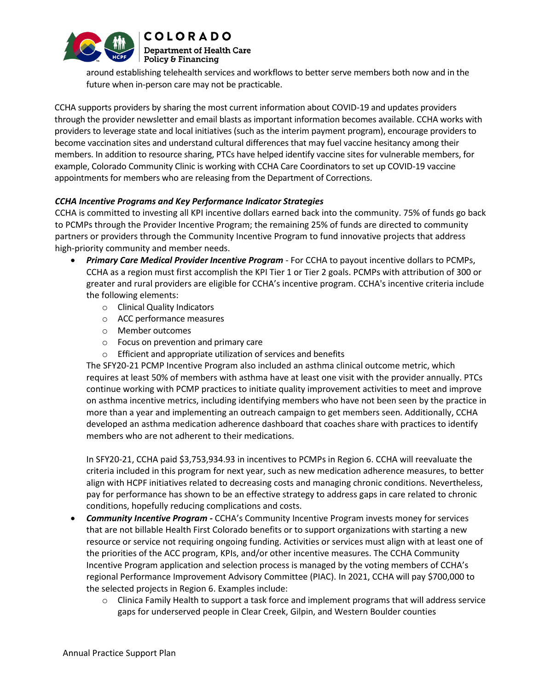

**COLORADO Department of Health Care** Policy & Financing

around establishing telehealth services and workflows to better serve members both now and in the future when in-person care may not be practicable.

CCHA supports providers by sharing the most current information about COVID-19 and updates providers through the provider newsletter and email blasts as important information becomes available. CCHA works with providers to leverage state and local initiatives (such as the interim payment program), encourage providers to become vaccination sites and understand cultural differences that may fuel vaccine hesitancy among their members. In addition to resource sharing, PTCs have helped identify vaccine sites for vulnerable members, for example, Colorado Community Clinic is working with CCHA Care Coordinators to set up COVID-19 vaccine appointments for members who are releasing from the Department of Corrections.

### *CCHA Incentive Programs and Key Performance Indicator Strategies*

CCHA is committed to investing all KPI incentive dollars earned back into the community. 75% of funds go back to PCMPs through the Provider Incentive Program; the remaining 25% of funds are directed to community partners or providers through the Community Incentive Program to fund innovative projects that address high-priority community and member needs.

- *Primary Care Medical Provider Incentive Program* For CCHA to payout incentive dollars to PCMPs, CCHA as a region must first accomplish the KPI Tier 1 or Tier 2 goals. PCMPs with attribution of 300 or greater and rural providers are eligible for CCHA's incentive program. CCHA's incentive criteria include the following elements:
	- o Clinical Quality Indicators
	- o ACC performance measures
	- o Member outcomes
	- o Focus on prevention and primary care
	- o Efficient and appropriate utilization of services and benefits

The SFY20-21 PCMP Incentive Program also included an asthma clinical outcome metric, which requires at least 50% of members with asthma have at least one visit with the provider annually. PTCs continue working with PCMP practices to initiate quality improvement activities to meet and improve on asthma incentive metrics, including identifying members who have not been seen by the practice in more than a year and implementing an outreach campaign to get members seen. Additionally, CCHA developed an asthma medication adherence dashboard that coaches share with practices to identify members who are not adherent to their medications.

In SFY20-21, CCHA paid \$3,753,934.93 in incentives to PCMPs in Region 6. CCHA will reevaluate the criteria included in this program for next year, such as new medication adherence measures, to better align with HCPF initiatives related to decreasing costs and managing chronic conditions. Nevertheless, pay for performance has shown to be an effective strategy to address gaps in care related to chronic conditions, hopefully reducing complications and costs.

- *Community Incentive Program -* CCHA's Community Incentive Program invests money for services that are not billable Health First Colorado benefits or to support organizations with starting a new resource or service not requiring ongoing funding. Activities or services must align with at least one of the priorities of the ACC program, KPIs, and/or other incentive measures. The CCHA Community Incentive Program application and selection process is managed by the voting members of CCHA's regional Performance Improvement Advisory Committee (PIAC). In 2021, CCHA will pay \$700,000 to the selected projects in Region 6. Examples include:
	- $\circ$  Clinica Family Health to support a task force and implement programs that will address service gaps for underserved people in Clear Creek, Gilpin, and Western Boulder counties